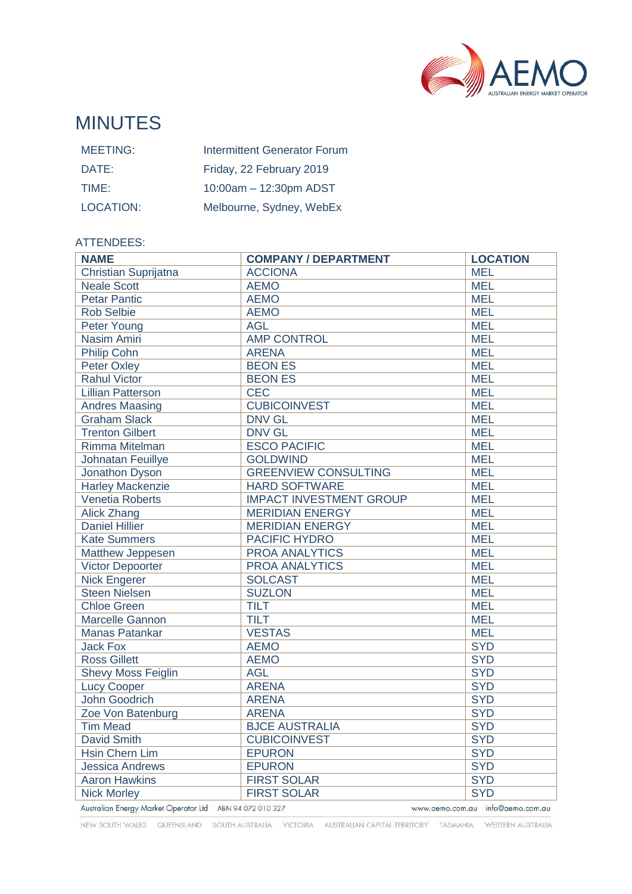

# MINUTES

| <b>MEETING:</b> | <b>Intermittent Generator Forum</b> |
|-----------------|-------------------------------------|
| DATE:           | Friday, 22 February 2019            |
| TIME:           | 10:00am - 12:30pm ADST              |
| LOCATION:       | Melbourne, Sydney, WebEx            |

### ATTENDEES:

| <b>NAME</b>                                                                                  | <b>COMPANY / DEPARTMENT</b>    | <b>LOCATION</b> |  |
|----------------------------------------------------------------------------------------------|--------------------------------|-----------------|--|
| Christian Suprijatna                                                                         | <b>ACCIONA</b>                 | <b>MEL</b>      |  |
| <b>Neale Scott</b>                                                                           | <b>AEMO</b>                    | <b>MEL</b>      |  |
| <b>Petar Pantic</b>                                                                          | <b>AEMO</b>                    | <b>MEL</b>      |  |
| <b>Rob Selbie</b>                                                                            | <b>AEMO</b>                    | <b>MEL</b>      |  |
| Peter Young                                                                                  | <b>AGL</b>                     | <b>MEL</b>      |  |
| Nasim Amiri                                                                                  | <b>AMP CONTROL</b>             | <b>MEL</b>      |  |
| Philip Cohn                                                                                  | <b>ARENA</b>                   | <b>MEL</b>      |  |
| Peter Oxley                                                                                  | <b>BEON ES</b>                 | <b>MEL</b>      |  |
| <b>Rahul Victor</b>                                                                          | <b>BEON ES</b>                 | <b>MEL</b>      |  |
| <b>Lillian Patterson</b>                                                                     | <b>CEC</b>                     | <b>MEL</b>      |  |
| <b>Andres Maasing</b>                                                                        | <b>CUBICOINVEST</b>            | <b>MEL</b>      |  |
| <b>Graham Slack</b>                                                                          | <b>DNV GL</b>                  | <b>MEL</b>      |  |
| <b>Trenton Gilbert</b>                                                                       | <b>DNV GL</b>                  | <b>MEL</b>      |  |
| Rimma Mitelman                                                                               | <b>ESCO PACIFIC</b>            | <b>MEL</b>      |  |
| <b>Johnatan Feuillye</b>                                                                     | <b>GOLDWIND</b>                | <b>MEL</b>      |  |
| Jonathon Dyson                                                                               | <b>GREENVIEW CONSULTING</b>    | <b>MEL</b>      |  |
| <b>Harley Mackenzie</b>                                                                      | <b>HARD SOFTWARE</b>           | <b>MEL</b>      |  |
| <b>Venetia Roberts</b>                                                                       | <b>IMPACT INVESTMENT GROUP</b> | <b>MEL</b>      |  |
| <b>Alick Zhang</b>                                                                           | <b>MERIDIAN ENERGY</b>         | <b>MEL</b>      |  |
| <b>Daniel Hillier</b>                                                                        | <b>MERIDIAN ENERGY</b>         | <b>MEL</b>      |  |
| <b>Kate Summers</b>                                                                          | PACIFIC HYDRO                  | <b>MEL</b>      |  |
| Matthew Jeppesen                                                                             | <b>PROA ANALYTICS</b>          | <b>MEL</b>      |  |
| <b>Victor Depoorter</b>                                                                      | <b>PROA ANALYTICS</b>          | <b>MEL</b>      |  |
| <b>Nick Engerer</b>                                                                          | <b>SOLCAST</b>                 | <b>MEL</b>      |  |
| <b>Steen Nielsen</b>                                                                         | <b>SUZLON</b>                  | <b>MEL</b>      |  |
| <b>Chloe Green</b>                                                                           | <b>TILT</b>                    | <b>MEL</b>      |  |
| Marcelle Gannon                                                                              | <b>TILT</b>                    | <b>MEL</b>      |  |
| <b>Manas Patankar</b>                                                                        | <b>VESTAS</b>                  | <b>MEL</b>      |  |
| <b>Jack Fox</b>                                                                              | <b>AEMO</b>                    | <b>SYD</b>      |  |
| <b>Ross Gillett</b>                                                                          | <b>AEMO</b>                    | <b>SYD</b>      |  |
| <b>Shevy Moss Feiglin</b>                                                                    | <b>AGL</b>                     | <b>SYD</b>      |  |
| <b>Lucy Cooper</b>                                                                           | <b>ARENA</b>                   | <b>SYD</b>      |  |
| <b>John Goodrich</b>                                                                         | <b>ARENA</b>                   | <b>SYD</b>      |  |
| Zoe Von Batenburg                                                                            | <b>ARENA</b>                   | <b>SYD</b>      |  |
| <b>Tim Mead</b>                                                                              | <b>BJCE AUSTRALIA</b>          | <b>SYD</b>      |  |
| <b>David Smith</b>                                                                           | <b>CUBICOINVEST</b>            | <b>SYD</b>      |  |
| Hsin Chern Lim                                                                               | <b>EPURON</b>                  | <b>SYD</b>      |  |
| <b>Jessica Andrews</b>                                                                       | <b>EPURON</b>                  | <b>SYD</b>      |  |
| <b>Aaron Hawkins</b>                                                                         | <b>FIRST SOLAR</b>             | <b>SYD</b>      |  |
| <b>Nick Morley</b>                                                                           | <b>FIRST SOLAR</b>             | <b>SYD</b>      |  |
| Australian Energy Market Operator Ltd ABN 94 072 010 327<br>www.aemo.com.au info@aemo.com.au |                                |                 |  |

NEW SOUTH WALES QUEENSLAND SOUTH AUSTRALIA VICTORIA AUSTRALIAN CAPITAL TERRITORY TASMANIA WESTERN AUSTRALIA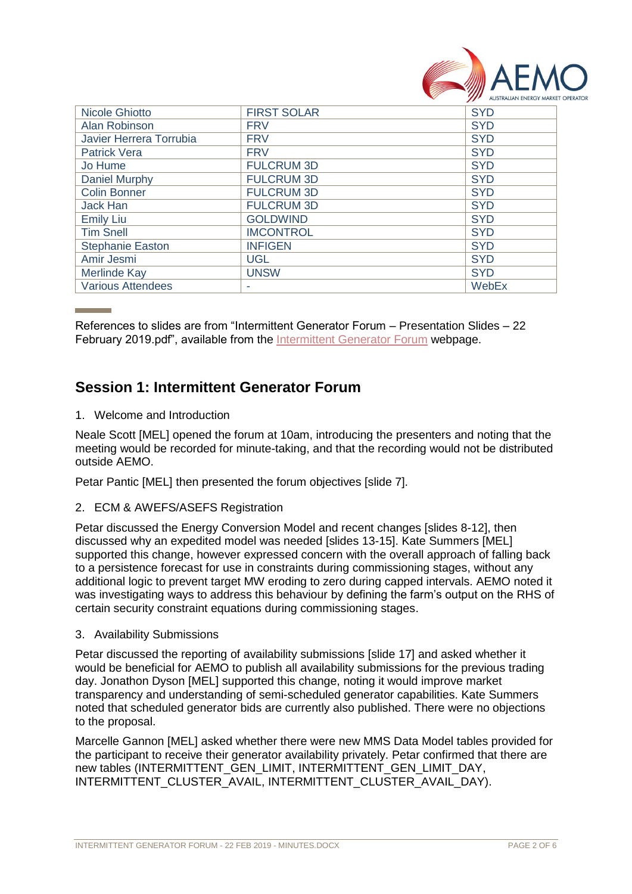

| <b>Nicole Ghiotto</b>    | <b>FIRST SOLAR</b> | <b>SYD</b> |
|--------------------------|--------------------|------------|
| Alan Robinson            | <b>FRV</b>         | <b>SYD</b> |
| Javier Herrera Torrubia  | <b>FRV</b>         | <b>SYD</b> |
| <b>Patrick Vera</b>      | <b>FRV</b>         | <b>SYD</b> |
| Jo Hume                  | <b>FULCRUM 3D</b>  | <b>SYD</b> |
| Daniel Murphy            | <b>FULCRUM 3D</b>  | <b>SYD</b> |
| <b>Colin Bonner</b>      | <b>FULCRUM 3D</b>  | <b>SYD</b> |
| Jack Han                 | <b>FULCRUM 3D</b>  | <b>SYD</b> |
| <b>Emily Liu</b>         | <b>GOLDWIND</b>    | <b>SYD</b> |
| <b>Tim Snell</b>         | <b>IMCONTROL</b>   | <b>SYD</b> |
| <b>Stephanie Easton</b>  | <b>INFIGEN</b>     | <b>SYD</b> |
| Amir Jesmi               | <b>UGL</b>         | <b>SYD</b> |
| Merlinde Kay             | <b>UNSW</b>        | <b>SYD</b> |
| <b>Various Attendees</b> |                    | WebEx      |

References to slides are from "Intermittent Generator Forum – Presentation Slides – 22 February 2019.pdf", available from the [Intermittent Generator Forum](https://www.aemo.com.au/Stakeholder-Consultation/Industry-forums-and-working-groups/Other-meetings/Intermittent-Generator-Forum) webpage.

## **Session 1: Intermittent Generator Forum**

1. Welcome and Introduction

Neale Scott [MEL] opened the forum at 10am, introducing the presenters and noting that the meeting would be recorded for minute-taking, and that the recording would not be distributed outside AEMO.

Petar Pantic [MEL] then presented the forum objectives [slide 7].

2. ECM & AWEFS/ASEFS Registration

Petar discussed the Energy Conversion Model and recent changes [slides 8-12], then discussed why an expedited model was needed [slides 13-15]. Kate Summers [MEL] supported this change, however expressed concern with the overall approach of falling back to a persistence forecast for use in constraints during commissioning stages, without any additional logic to prevent target MW eroding to zero during capped intervals. AEMO noted it was investigating ways to address this behaviour by defining the farm's output on the RHS of certain security constraint equations during commissioning stages.

3. Availability Submissions

Petar discussed the reporting of availability submissions [slide 17] and asked whether it would be beneficial for AEMO to publish all availability submissions for the previous trading day. Jonathon Dyson [MEL] supported this change, noting it would improve market transparency and understanding of semi-scheduled generator capabilities. Kate Summers noted that scheduled generator bids are currently also published. There were no objections to the proposal.

Marcelle Gannon [MEL] asked whether there were new MMS Data Model tables provided for the participant to receive their generator availability privately. Petar confirmed that there are new tables (INTERMITTENT\_GEN\_LIMIT, INTERMITTENT\_GEN\_LIMIT\_DAY, INTERMITTENT\_CLUSTER\_AVAIL, INTERMITTENT\_CLUSTER\_AVAIL\_DAY).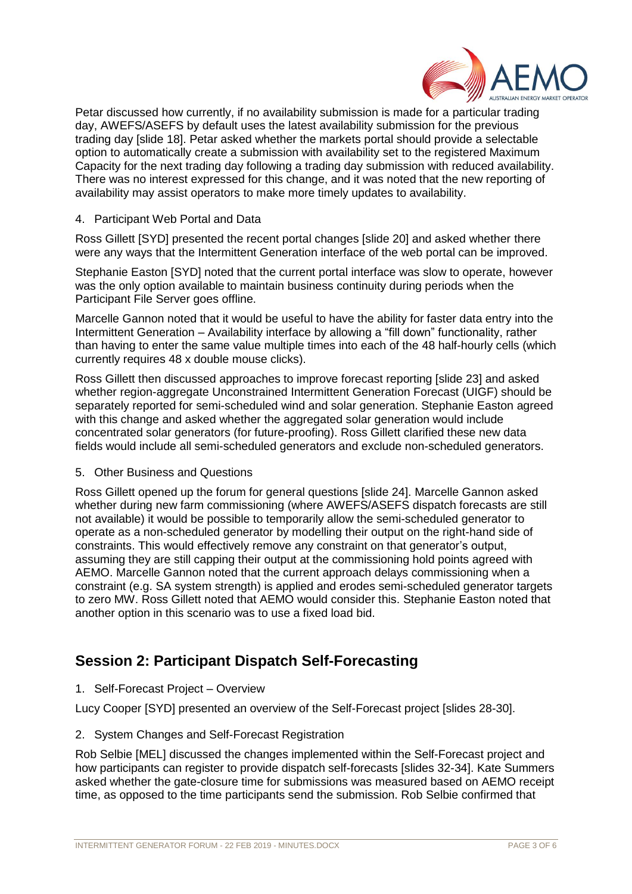

Petar discussed how currently, if no availability submission is made for a particular trading day, AWEFS/ASEFS by default uses the latest availability submission for the previous trading day [slide 18]. Petar asked whether the markets portal should provide a selectable option to automatically create a submission with availability set to the registered Maximum Capacity for the next trading day following a trading day submission with reduced availability. There was no interest expressed for this change, and it was noted that the new reporting of availability may assist operators to make more timely updates to availability.

### 4. Participant Web Portal and Data

Ross Gillett [SYD] presented the recent portal changes [slide 20] and asked whether there were any ways that the Intermittent Generation interface of the web portal can be improved.

Stephanie Easton [SYD] noted that the current portal interface was slow to operate, however was the only option available to maintain business continuity during periods when the Participant File Server goes offline.

Marcelle Gannon noted that it would be useful to have the ability for faster data entry into the Intermittent Generation – Availability interface by allowing a "fill down" functionality, rather than having to enter the same value multiple times into each of the 48 half-hourly cells (which currently requires 48 x double mouse clicks).

Ross Gillett then discussed approaches to improve forecast reporting [slide 23] and asked whether region-aggregate Unconstrained Intermittent Generation Forecast (UIGF) should be separately reported for semi-scheduled wind and solar generation. Stephanie Easton agreed with this change and asked whether the aggregated solar generation would include concentrated solar generators (for future-proofing). Ross Gillett clarified these new data fields would include all semi-scheduled generators and exclude non-scheduled generators.

#### 5. Other Business and Questions

Ross Gillett opened up the forum for general questions [slide 24]. Marcelle Gannon asked whether during new farm commissioning (where AWEFS/ASEFS dispatch forecasts are still not available) it would be possible to temporarily allow the semi-scheduled generator to operate as a non-scheduled generator by modelling their output on the right-hand side of constraints. This would effectively remove any constraint on that generator's output, assuming they are still capping their output at the commissioning hold points agreed with AEMO. Marcelle Gannon noted that the current approach delays commissioning when a constraint (e.g. SA system strength) is applied and erodes semi-scheduled generator targets to zero MW. Ross Gillett noted that AEMO would consider this. Stephanie Easton noted that another option in this scenario was to use a fixed load bid.

## **Session 2: Participant Dispatch Self-Forecasting**

1. Self-Forecast Project – Overview

Lucy Cooper [SYD] presented an overview of the Self-Forecast project [slides 28-30].

2. System Changes and Self-Forecast Registration

Rob Selbie [MEL] discussed the changes implemented within the Self-Forecast project and how participants can register to provide dispatch self-forecasts [slides 32-34]. Kate Summers asked whether the gate-closure time for submissions was measured based on AEMO receipt time, as opposed to the time participants send the submission. Rob Selbie confirmed that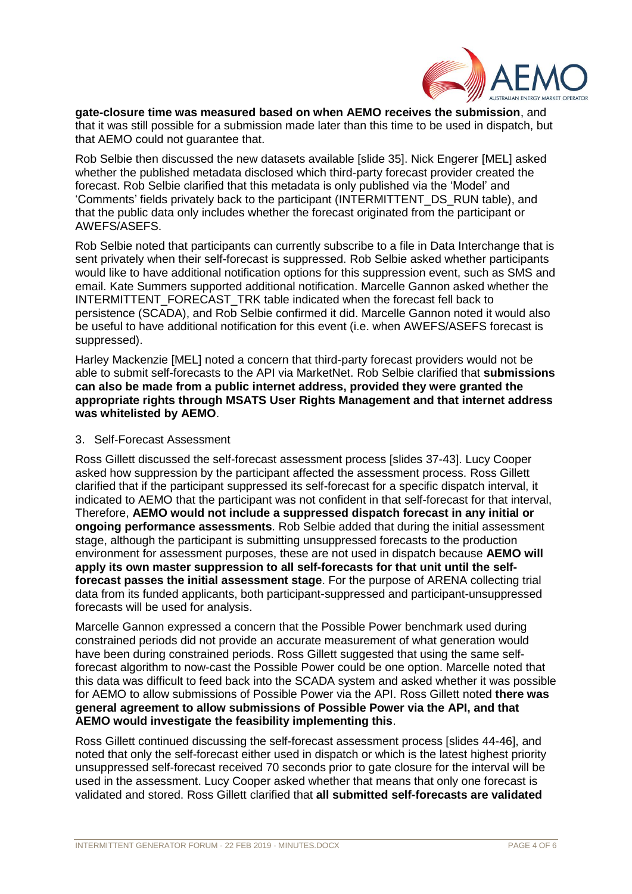

**gate-closure time was measured based on when AEMO receives the submission**, and that it was still possible for a submission made later than this time to be used in dispatch, but that AEMO could not guarantee that.

Rob Selbie then discussed the new datasets available [slide 35]. Nick Engerer [MEL] asked whether the published metadata disclosed which third-party forecast provider created the forecast. Rob Selbie clarified that this metadata is only published via the 'Model' and 'Comments' fields privately back to the participant (INTERMITTENT\_DS\_RUN table), and that the public data only includes whether the forecast originated from the participant or AWEFS/ASEFS.

Rob Selbie noted that participants can currently subscribe to a file in Data Interchange that is sent privately when their self-forecast is suppressed. Rob Selbie asked whether participants would like to have additional notification options for this suppression event, such as SMS and email. Kate Summers supported additional notification. Marcelle Gannon asked whether the INTERMITTENT\_FORECAST\_TRK table indicated when the forecast fell back to persistence (SCADA), and Rob Selbie confirmed it did. Marcelle Gannon noted it would also be useful to have additional notification for this event (i.e. when AWEFS/ASEFS forecast is suppressed).

Harley Mackenzie [MEL] noted a concern that third-party forecast providers would not be able to submit self-forecasts to the API via MarketNet. Rob Selbie clarified that **submissions can also be made from a public internet address, provided they were granted the appropriate rights through MSATS User Rights Management and that internet address was whitelisted by AEMO**.

### 3. Self-Forecast Assessment

Ross Gillett discussed the self-forecast assessment process [slides 37-43]. Lucy Cooper asked how suppression by the participant affected the assessment process. Ross Gillett clarified that if the participant suppressed its self-forecast for a specific dispatch interval, it indicated to AEMO that the participant was not confident in that self-forecast for that interval, Therefore, **AEMO would not include a suppressed dispatch forecast in any initial or ongoing performance assessments**. Rob Selbie added that during the initial assessment stage, although the participant is submitting unsuppressed forecasts to the production environment for assessment purposes, these are not used in dispatch because **AEMO will apply its own master suppression to all self-forecasts for that unit until the selfforecast passes the initial assessment stage**. For the purpose of ARENA collecting trial data from its funded applicants, both participant-suppressed and participant-unsuppressed forecasts will be used for analysis.

Marcelle Gannon expressed a concern that the Possible Power benchmark used during constrained periods did not provide an accurate measurement of what generation would have been during constrained periods. Ross Gillett suggested that using the same selfforecast algorithm to now-cast the Possible Power could be one option. Marcelle noted that this data was difficult to feed back into the SCADA system and asked whether it was possible for AEMO to allow submissions of Possible Power via the API. Ross Gillett noted **there was general agreement to allow submissions of Possible Power via the API, and that AEMO would investigate the feasibility implementing this**.

Ross Gillett continued discussing the self-forecast assessment process [slides 44-46], and noted that only the self-forecast either used in dispatch or which is the latest highest priority unsuppressed self-forecast received 70 seconds prior to gate closure for the interval will be used in the assessment. Lucy Cooper asked whether that means that only one forecast is validated and stored. Ross Gillett clarified that **all submitted self-forecasts are validated**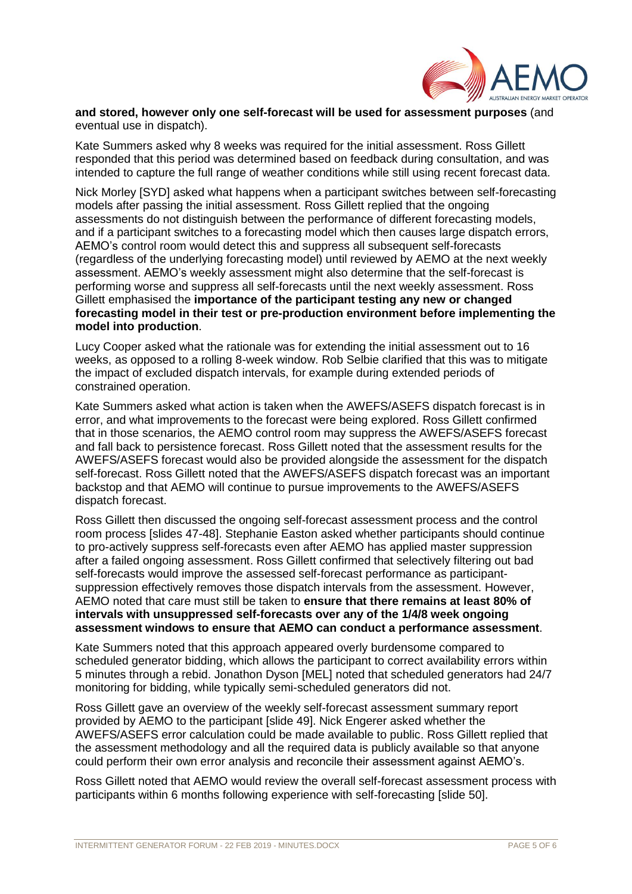

#### **and stored, however only one self-forecast will be used for assessment purposes** (and eventual use in dispatch).

Kate Summers asked why 8 weeks was required for the initial assessment. Ross Gillett responded that this period was determined based on feedback during consultation, and was intended to capture the full range of weather conditions while still using recent forecast data.

Nick Morley [SYD] asked what happens when a participant switches between self-forecasting models after passing the initial assessment. Ross Gillett replied that the ongoing assessments do not distinguish between the performance of different forecasting models, and if a participant switches to a forecasting model which then causes large dispatch errors, AEMO's control room would detect this and suppress all subsequent self-forecasts (regardless of the underlying forecasting model) until reviewed by AEMO at the next weekly assessment. AEMO's weekly assessment might also determine that the self-forecast is performing worse and suppress all self-forecasts until the next weekly assessment. Ross Gillett emphasised the **importance of the participant testing any new or changed forecasting model in their test or pre-production environment before implementing the model into production**.

Lucy Cooper asked what the rationale was for extending the initial assessment out to 16 weeks, as opposed to a rolling 8-week window. Rob Selbie clarified that this was to mitigate the impact of excluded dispatch intervals, for example during extended periods of constrained operation.

Kate Summers asked what action is taken when the AWEFS/ASEFS dispatch forecast is in error, and what improvements to the forecast were being explored. Ross Gillett confirmed that in those scenarios, the AEMO control room may suppress the AWEFS/ASEFS forecast and fall back to persistence forecast. Ross Gillett noted that the assessment results for the AWEFS/ASEFS forecast would also be provided alongside the assessment for the dispatch self-forecast. Ross Gillett noted that the AWEFS/ASEFS dispatch forecast was an important backstop and that AEMO will continue to pursue improvements to the AWEFS/ASEFS dispatch forecast.

Ross Gillett then discussed the ongoing self-forecast assessment process and the control room process [slides 47-48]. Stephanie Easton asked whether participants should continue to pro-actively suppress self-forecasts even after AEMO has applied master suppression after a failed ongoing assessment. Ross Gillett confirmed that selectively filtering out bad self-forecasts would improve the assessed self-forecast performance as participantsuppression effectively removes those dispatch intervals from the assessment. However, AEMO noted that care must still be taken to **ensure that there remains at least 80% of intervals with unsuppressed self-forecasts over any of the 1/4/8 week ongoing assessment windows to ensure that AEMO can conduct a performance assessment**.

Kate Summers noted that this approach appeared overly burdensome compared to scheduled generator bidding, which allows the participant to correct availability errors within 5 minutes through a rebid. Jonathon Dyson [MEL] noted that scheduled generators had 24/7 monitoring for bidding, while typically semi-scheduled generators did not.

Ross Gillett gave an overview of the weekly self-forecast assessment summary report provided by AEMO to the participant [slide 49]. Nick Engerer asked whether the AWEFS/ASEFS error calculation could be made available to public. Ross Gillett replied that the assessment methodology and all the required data is publicly available so that anyone could perform their own error analysis and reconcile their assessment against AEMO's.

Ross Gillett noted that AEMO would review the overall self-forecast assessment process with participants within 6 months following experience with self-forecasting [slide 50].